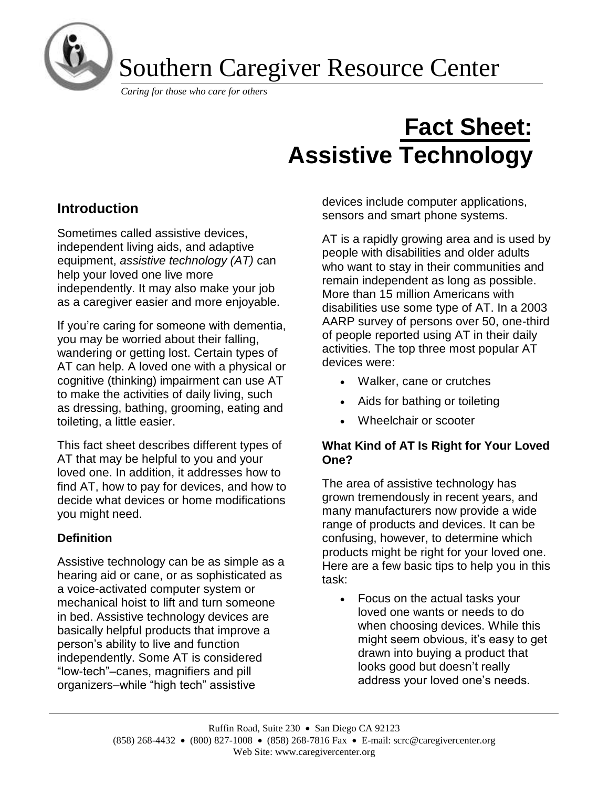

Southern Caregiver Resource Center

*Caring for those who care for others*

# **Fact Sheet: Assistive Technology**

# **Introduction**

Sometimes called assistive devices, independent living aids, and adaptive equipment, *assistive technology (AT)* can help your loved one live more independently. It may also make your job as a caregiver easier and more enjoyable.

If you're caring for someone with dementia, you may be worried about their falling, wandering or getting lost. Certain types of AT can help. A loved one with a physical or cognitive (thinking) impairment can use AT to make the activities of daily living, such as dressing, bathing, grooming, eating and toileting, a little easier.

This fact sheet describes different types of AT that may be helpful to you and your loved one. In addition, it addresses how to find AT, how to pay for devices, and how to decide what devices or home modifications you might need.

# **Definition**

Assistive technology can be as simple as a hearing aid or cane, or as sophisticated as a voice-activated computer system or mechanical hoist to lift and turn someone in bed. Assistive technology devices are basically helpful products that improve a person's ability to live and function independently. Some AT is considered "low-tech"–canes, magnifiers and pill organizers–while "high tech" assistive

devices include computer applications, sensors and smart phone systems.

AT is a rapidly growing area and is used by people with disabilities and older adults who want to stay in their communities and remain independent as long as possible. More than 15 million Americans with disabilities use some type of AT. In a 2003 AARP survey of persons over 50, one-third of people reported using AT in their daily activities. The top three most popular AT devices were:

- Walker, cane or crutches
- Aids for bathing or toileting
- Wheelchair or scooter

# **What Kind of AT Is Right for Your Loved One?**

The area of assistive technology has grown tremendously in recent years, and many manufacturers now provide a wide range of products and devices. It can be confusing, however, to determine which products might be right for your loved one. Here are a few basic tips to help you in this task:

• Focus on the actual tasks your loved one wants or needs to do when choosing devices. While this might seem obvious, it's easy to get drawn into buying a product that looks good but doesn't really address your loved one's needs.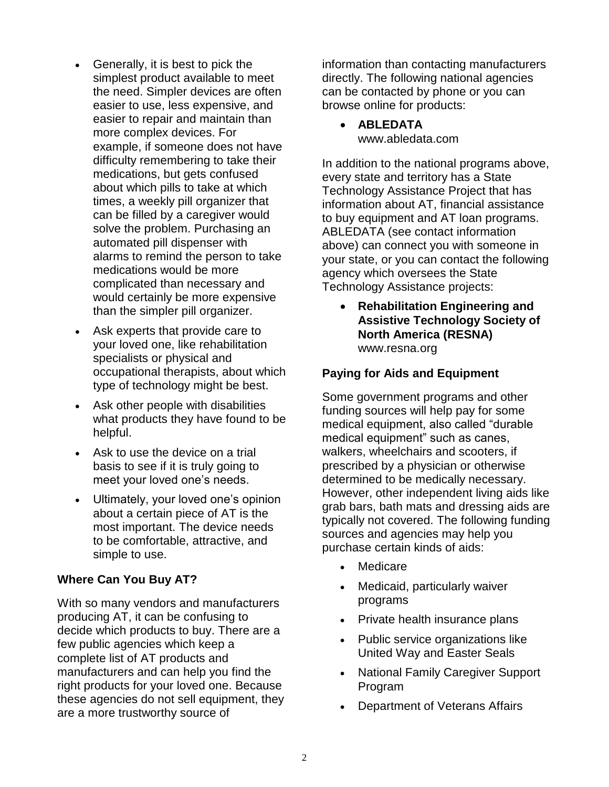- Generally, it is best to pick the simplest product available to meet the need. Simpler devices are often easier to use, less expensive, and easier to repair and maintain than more complex devices. For example, if someone does not have difficulty remembering to take their medications, but gets confused about which pills to take at which times, a weekly pill organizer that can be filled by a caregiver would solve the problem. Purchasing an automated pill dispenser with alarms to remind the person to take medications would be more complicated than necessary and would certainly be more expensive than the simpler pill organizer.
- Ask experts that provide care to your loved one, like rehabilitation specialists or physical and occupational therapists, about which type of technology might be best.
- Ask other people with disabilities what products they have found to be helpful.
- Ask to use the device on a trial basis to see if it is truly going to meet your loved one's needs.
- Ultimately, your loved one's opinion about a certain piece of AT is the most important. The device needs to be comfortable, attractive, and simple to use.

#### **Where Can You Buy AT?**

With so many vendors and manufacturers producing AT, it can be confusing to decide which products to buy. There are a few public agencies which keep a complete list of AT products and manufacturers and can help you find the right products for your loved one. Because these agencies do not sell equipment, they are a more trustworthy source of

information than contacting manufacturers directly. The following national agencies can be contacted by phone or you can browse online for products:

## • **ABLEDATA** [www.abledata.com](http://www.abledata.com/)

In addition to the national programs above, every state and territory has a State Technology Assistance Project that has information about AT, financial assistance to buy equipment and AT loan programs. ABLEDATA (see contact information above) can connect you with someone in your state, or you can contact the following agency which oversees the State Technology Assistance projects:

• **Rehabilitation Engineering and Assistive Technology Society of North America (RESNA)** www.resna.org

# **Paying for Aids and Equipment**

Some government programs and other funding sources will help pay for some medical equipment, also called "durable medical equipment" such as canes, walkers, wheelchairs and scooters, if prescribed by a physician or otherwise determined to be medically necessary. However, other independent living aids like grab bars, bath mats and dressing aids are typically not covered. The following funding sources and agencies may help you purchase certain kinds of aids:

- Medicare
- Medicaid, particularly waiver programs
- Private health insurance plans
- Public service organizations like United Way and Easter Seals
- National Family Caregiver Support Program
- Department of Veterans Affairs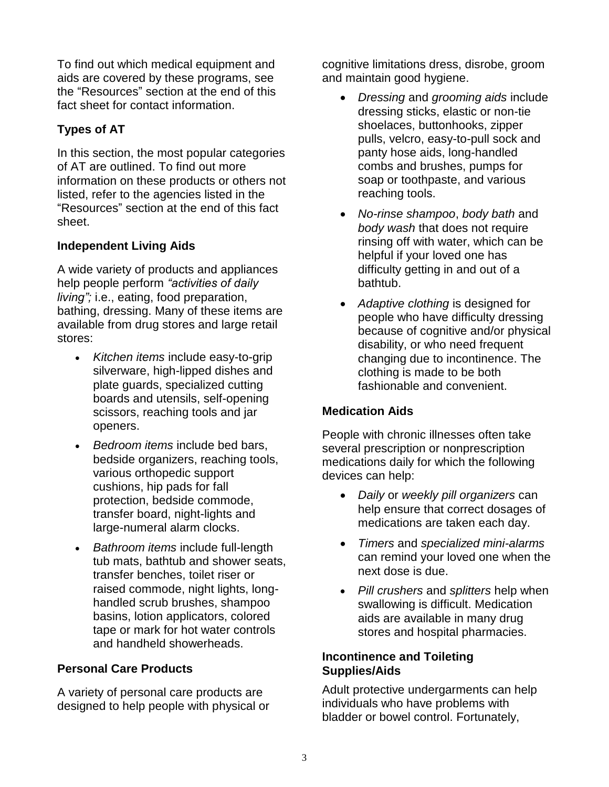To find out which medical equipment and aids are covered by these programs, see the "Resources" section at the end of this fact sheet for contact information.

# **Types of AT**

In this section, the most popular categories of AT are outlined. To find out more information on these products or others not listed, refer to the agencies listed in the "Resources" section at the end of this fact sheet.

# **Independent Living Aids**

A wide variety of products and appliances help people perform *"activities of daily living";* i.e., eating, food preparation, bathing, dressing. Many of these items are available from drug stores and large retail stores:

- *Kitchen items* include easy-to-grip silverware, high-lipped dishes and plate guards, specialized cutting boards and utensils, self-opening scissors, reaching tools and jar openers.
- *Bedroom items* include bed bars, bedside organizers, reaching tools, various orthopedic support cushions, hip pads for fall protection, bedside commode, transfer board, night-lights and large-numeral alarm clocks.
- *Bathroom items* include full-length tub mats, bathtub and shower seats, transfer benches, toilet riser or raised commode, night lights, longhandled scrub brushes, shampoo basins, lotion applicators, colored tape or mark for hot water controls and handheld showerheads.

# **Personal Care Products**

A variety of personal care products are designed to help people with physical or cognitive limitations dress, disrobe, groom and maintain good hygiene.

- *Dressing* and *grooming aids* include dressing sticks, elastic or non-tie shoelaces, buttonhooks, zipper pulls, velcro, easy-to-pull sock and panty hose aids, long-handled combs and brushes, pumps for soap or toothpaste, and various reaching tools.
- *No-rinse shampoo*, *body bath* and *body wash* that does not require rinsing off with water, which can be helpful if your loved one has difficulty getting in and out of a bathtub.
- *Adaptive clothing* is designed for people who have difficulty dressing because of cognitive and/or physical disability, or who need frequent changing due to incontinence. The clothing is made to be both fashionable and convenient.

# **Medication Aids**

People with chronic illnesses often take several prescription or nonprescription medications daily for which the following devices can help:

- *Daily* or *weekly pill organizers* can help ensure that correct dosages of medications are taken each day.
- *Timers* and *specialized mini-alarms* can remind your loved one when the next dose is due.
- *Pill crushers* and *splitters* help when swallowing is difficult. Medication aids are available in many drug stores and hospital pharmacies.

## **Incontinence and Toileting Supplies/Aids**

Adult protective undergarments can help individuals who have problems with bladder or bowel control. Fortunately,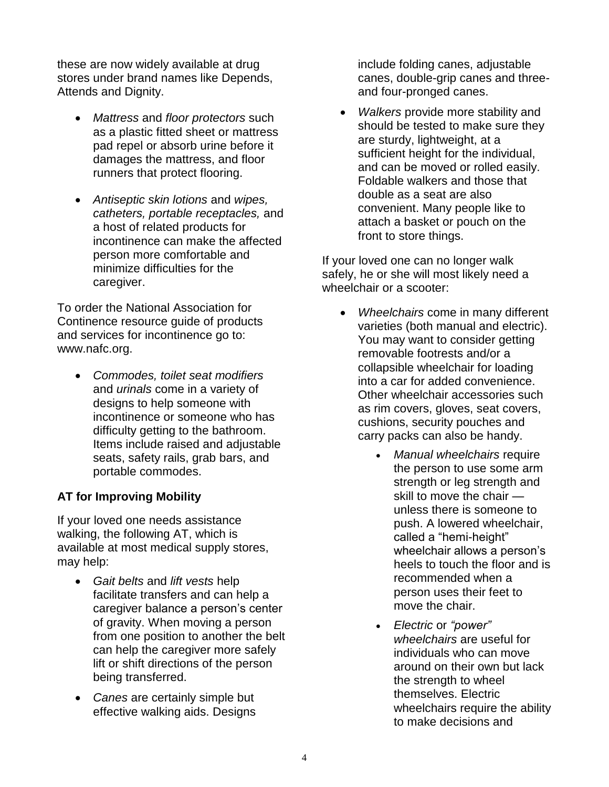these are now widely available at drug stores under brand names like Depends, Attends and Dignity.

- *Mattress* and *floor protectors* such as a plastic fitted sheet or mattress pad repel or absorb urine before it damages the mattress, and floor runners that protect flooring.
- *Antiseptic skin lotions* and *wipes, catheters, portable receptacles,* and a host of related products for incontinence can make the affected person more comfortable and minimize difficulties for the caregiver.

To order the National Association for Continence resource guide of products and services for incontinence go to: www.nafc.org.

• *Commodes, toilet seat modifiers* and *urinals* come in a variety of designs to help someone with incontinence or someone who has difficulty getting to the bathroom. Items include raised and adjustable seats, safety rails, grab bars, and portable commodes.

# **AT for Improving Mobility**

If your loved one needs assistance walking, the following AT, which is available at most medical supply stores, may help:

- *Gait belts* and *lift vests* help facilitate transfers and can help a caregiver balance a person's center of gravity. When moving a person from one position to another the belt can help the caregiver more safely lift or shift directions of the person being transferred.
- *Canes* are certainly simple but effective walking aids. Designs

include folding canes, adjustable canes, double-grip canes and threeand four-pronged canes.

• *Walkers* provide more stability and should be tested to make sure they are sturdy, lightweight, at a sufficient height for the individual, and can be moved or rolled easily. Foldable walkers and those that double as a seat are also convenient. Many people like to attach a basket or pouch on the front to store things.

If your loved one can no longer walk safely, he or she will most likely need a wheelchair or a scooter:

- *Wheelchairs* come in many different varieties (both manual and electric). You may want to consider getting removable footrests and/or a collapsible wheelchair for loading into a car for added convenience. Other wheelchair accessories such as rim covers, gloves, seat covers, cushions, security pouches and carry packs can also be handy.
	- *Manual wheelchairs* require the person to use some arm strength or leg strength and skill to move the chair unless there is someone to push. A lowered wheelchair, called a "hemi-height" wheelchair allows a person's heels to touch the floor and is recommended when a person uses their feet to move the chair.
	- *Electric* or *"power" wheelchairs* are useful for individuals who can move around on their own but lack the strength to wheel themselves. Electric wheelchairs require the ability to make decisions and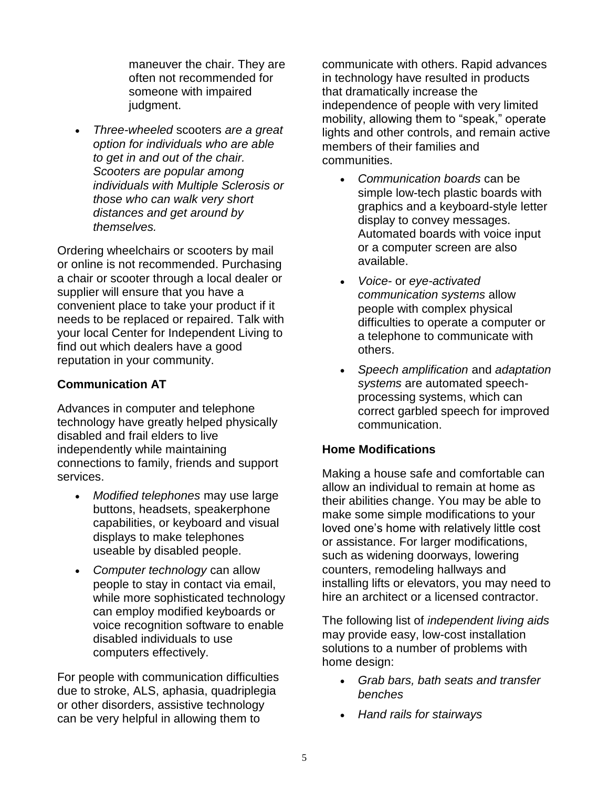maneuver the chair. They are often not recommended for someone with impaired judgment.

• *Three-wheeled* scooters *are a great option for individuals who are able to get in and out of the chair. Scooters are popular among individuals with Multiple Sclerosis or those who can walk very short distances and get around by themselves.*

Ordering wheelchairs or scooters by mail or online is not recommended. Purchasing a chair or scooter through a local dealer or supplier will ensure that you have a convenient place to take your product if it needs to be replaced or repaired. Talk with your local Center for Independent Living to find out which dealers have a good reputation in your community.

## **Communication AT**

Advances in computer and telephone technology have greatly helped physically disabled and frail elders to live independently while maintaining connections to family, friends and support services.

- *Modified telephones* may use large buttons, headsets, speakerphone capabilities, or keyboard and visual displays to make telephones useable by disabled people.
- *Computer technology* can allow people to stay in contact via email, while more sophisticated technology can employ modified keyboards or voice recognition software to enable disabled individuals to use computers effectively.

For people with communication difficulties due to stroke, ALS, aphasia, quadriplegia or other disorders, assistive technology can be very helpful in allowing them to

communicate with others. Rapid advances in technology have resulted in products that dramatically increase the independence of people with very limited mobility, allowing them to "speak," operate lights and other controls, and remain active members of their families and communities.

- *Communication boards* can be simple low-tech plastic boards with graphics and a keyboard-style letter display to convey messages. Automated boards with voice input or a computer screen are also available.
- *Voice-* or *eye-activated communication systems* allow people with complex physical difficulties to operate a computer or a telephone to communicate with others.
- *Speech amplification* and *adaptation systems* are automated speechprocessing systems, which can correct garbled speech for improved communication.

#### **Home Modifications**

Making a house safe and comfortable can allow an individual to remain at home as their abilities change. You may be able to make some simple modifications to your loved one's home with relatively little cost or assistance. For larger modifications, such as widening doorways, lowering counters, remodeling hallways and installing lifts or elevators, you may need to hire an architect or a licensed contractor.

The following list of *independent living aids* may provide easy, low-cost installation solutions to a number of problems with home design:

- *Grab bars, bath seats and transfer benches*
- *Hand rails for stairways*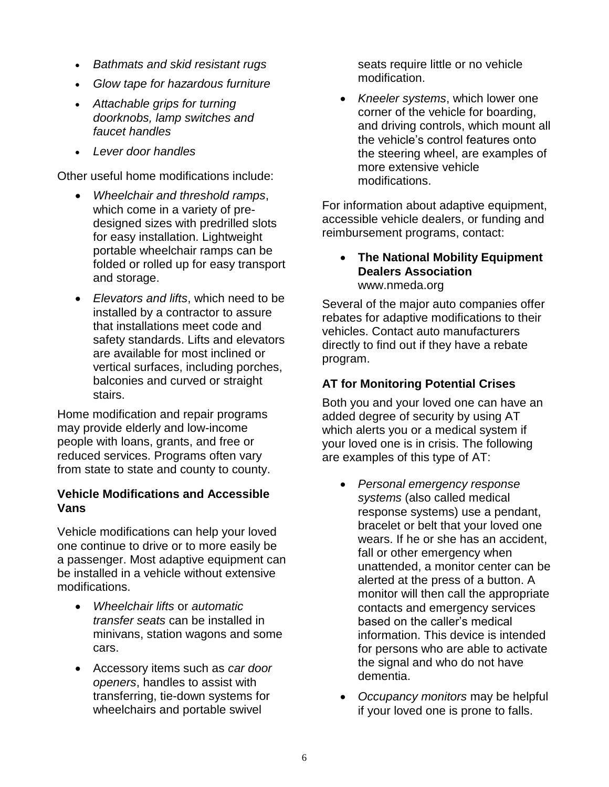- *Bathmats and skid resistant rugs*
- *Glow tape for hazardous furniture*
- *Attachable grips for turning doorknobs, lamp switches and faucet handles*
- *Lever door handles*

Other useful home modifications include:

- *Wheelchair and threshold ramps*, which come in a variety of predesigned sizes with predrilled slots for easy installation. Lightweight portable wheelchair ramps can be folded or rolled up for easy transport and storage.
- *Elevators and lifts*, which need to be installed by a contractor to assure that installations meet code and safety standards. Lifts and elevators are available for most inclined or vertical surfaces, including porches, balconies and curved or straight stairs.

Home modification and repair programs may provide elderly and low-income people with loans, grants, and free or reduced services. Programs often vary from state to state and county to county.

#### **Vehicle Modifications and Accessible Vans**

Vehicle modifications can help your loved one continue to drive or to more easily be a passenger. Most adaptive equipment can be installed in a vehicle without extensive modifications.

- *Wheelchair lifts* or *automatic transfer seats* can be installed in minivans, station wagons and some cars.
- Accessory items such as *car door openers*, handles to assist with transferring, tie-down systems for wheelchairs and portable swivel

seats require little or no vehicle modification.

• *Kneeler systems*, which lower one corner of the vehicle for boarding, and driving controls, which mount all the vehicle's control features onto the steering wheel, are examples of more extensive vehicle modifications.

For information about adaptive equipment, accessible vehicle dealers, or funding and reimbursement programs, contact:

#### • **The National Mobility Equipment Dealers Association** www.nmeda.org

Several of the major auto companies offer rebates for adaptive modifications to their vehicles. Contact auto manufacturers directly to find out if they have a rebate program.

# **AT for Monitoring Potential Crises**

Both you and your loved one can have an added degree of security by using AT which alerts you or a medical system if your loved one is in crisis. The following are examples of this type of AT:

- *Personal emergency response systems* (also called medical response systems) use a pendant, bracelet or belt that your loved one wears. If he or she has an accident, fall or other emergency when unattended, a monitor center can be alerted at the press of a button. A monitor will then call the appropriate contacts and emergency services based on the caller's medical information. This device is intended for persons who are able to activate the signal and who do not have dementia.
- *Occupancy monitors* may be helpful if your loved one is prone to falls.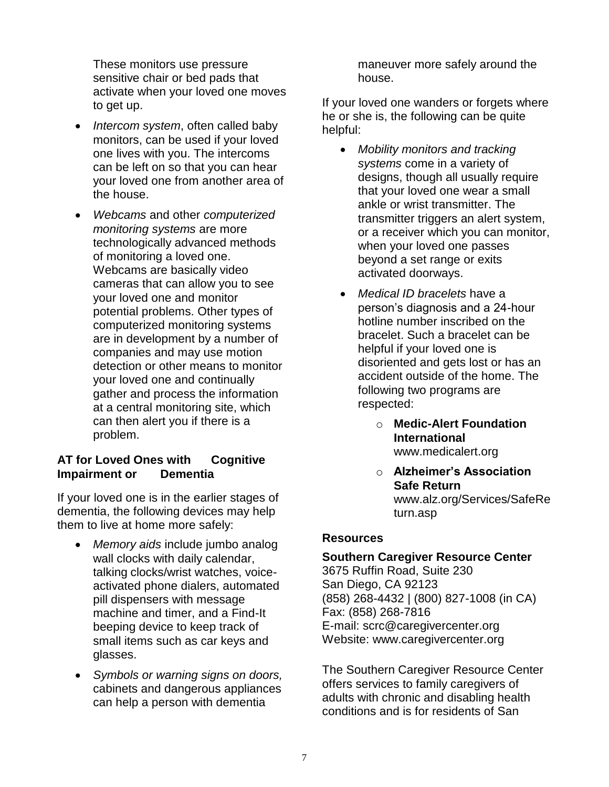These monitors use pressure sensitive chair or bed pads that activate when your loved one moves to get up.

- *Intercom system*, often called baby monitors, can be used if your loved one lives with you. The intercoms can be left on so that you can hear your loved one from another area of the house.
- *Webcams* and other *computerized monitoring systems* are more technologically advanced methods of monitoring a loved one. Webcams are basically video cameras that can allow you to see your loved one and monitor potential problems. Other types of computerized monitoring systems are in development by a number of companies and may use motion detection or other means to monitor your loved one and continually gather and process the information at a central monitoring site, which can then alert you if there is a problem.

# **AT for Loved Ones with Cognitive Impairment or Dementia**

If your loved one is in the earlier stages of dementia, the following devices may help them to live at home more safely:

- *Memory aids* include jumbo analog wall clocks with daily calendar, talking clocks/wrist watches, voiceactivated phone dialers, automated pill dispensers with message machine and timer, and a Find-It beeping device to keep track of small items such as car keys and glasses.
- *Symbols or warning signs on doors,* cabinets and dangerous appliances can help a person with dementia

maneuver more safely around the house.

If your loved one wanders or forgets where he or she is, the following can be quite helpful:

- *Mobility monitors and tracking systems* come in a variety of designs, though all usually require that your loved one wear a small ankle or wrist transmitter. The transmitter triggers an alert system, or a receiver which you can monitor, when your loved one passes beyond a set range or exits activated doorways.
- *Medical ID bracelets* have a person's diagnosis and a 24-hour hotline number inscribed on the bracelet. Such a bracelet can be helpful if your loved one is disoriented and gets lost or has an accident outside of the home. The following two programs are respected:
	- o **Medic-Alert Foundation International** www.medicalert.org
	- o **Alzheimer's Association Safe Return** www.alz.org/Services/SafeRe turn.asp

# **Resources**

# **Southern Caregiver Resource Center**

3675 Ruffin Road, Suite 230 San Diego, CA 92123 (858) 268-4432 | (800) 827-1008 (in CA) Fax: (858) 268-7816 E-mail: [scrc@caregivercenter.org](mailto:scrc@caregivercenter.org) Website: www.caregivercenter.org

The Southern Caregiver Resource Center offers services to family caregivers of adults with chronic and disabling health conditions and is for residents of San